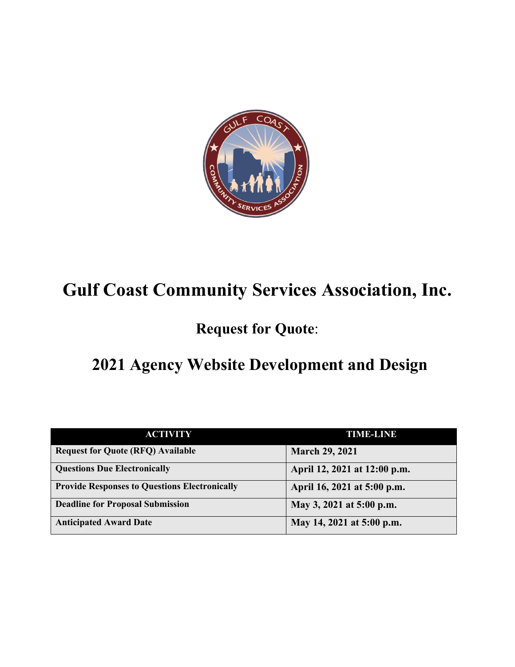

# **Gulf Coast Community Services Association, Inc.**

# **Request for Quote**:

# **2021 Agency Website Development and Design**

| <b>ACTIVITY</b>                                      | <b>TIME-LINE</b>             |
|------------------------------------------------------|------------------------------|
| <b>Request for Quote (RFQ) Available</b>             | <b>March 29, 2021</b>        |
| <b>Questions Due Electronically</b>                  | April 12, 2021 at 12:00 p.m. |
| <b>Provide Responses to Questions Electronically</b> | April 16, 2021 at 5:00 p.m.  |
| <b>Deadline for Proposal Submission</b>              | May 3, 2021 at 5:00 p.m.     |
| <b>Anticipated Award Date</b>                        | May 14, 2021 at 5:00 p.m.    |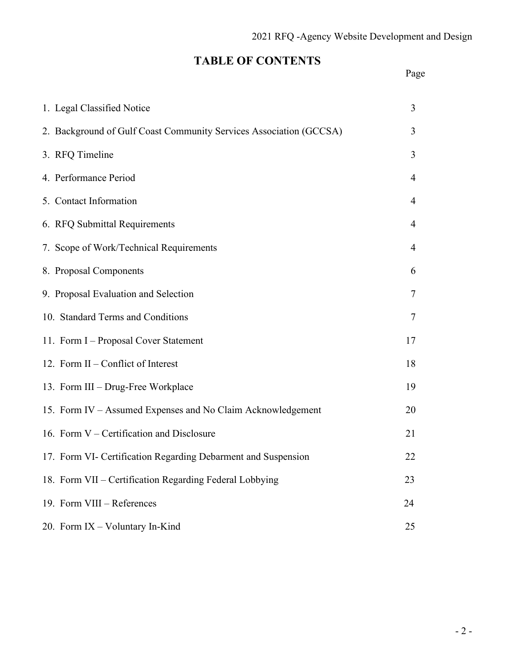# **TABLE OF CONTENTS**

# Page

| 1. Legal Classified Notice                                         | 3              |
|--------------------------------------------------------------------|----------------|
| 2. Background of Gulf Coast Community Services Association (GCCSA) | 3              |
| 3. RFQ Timeline                                                    | 3              |
| 4. Performance Period                                              | $\overline{4}$ |
| 5. Contact Information                                             | 4              |
| 6. RFQ Submittal Requirements                                      | $\overline{4}$ |
| 7. Scope of Work/Technical Requirements                            | $\overline{4}$ |
| 8. Proposal Components                                             | 6              |
| 9. Proposal Evaluation and Selection                               | 7              |
| 10. Standard Terms and Conditions                                  | 7              |
| 11. Form I - Proposal Cover Statement                              | 17             |
| 12. Form II – Conflict of Interest                                 | 18             |
| 13. Form III - Drug-Free Workplace                                 | 19             |
| 15. Form IV – Assumed Expenses and No Claim Acknowledgement        | 20             |
| 16. Form V – Certification and Disclosure                          | 21             |
| 17. Form VI- Certification Regarding Debarment and Suspension      | 22             |
| 18. Form VII - Certification Regarding Federal Lobbying            | 23             |
| 19. Form VIII - References                                         | 24             |
| 20. Form IX - Voluntary In-Kind                                    | 25             |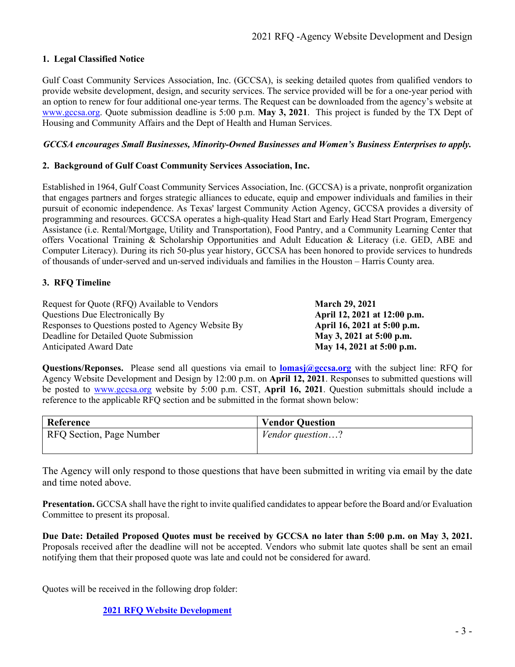# **1. Legal Classified Notice**

Gulf Coast Community Services Association, Inc. (GCCSA), is seeking detailed quotes from qualified vendors to provide website development, design, and security services. The service provided will be for a one-year period with an option to renew for four additional one-year terms. The Request can be downloaded from the agency's website at [www.gccsa.org.](http://www.gccsa.org/) Quote submission deadline is 5:00 p.m. **May 3, 2021**. This project is funded by the TX Dept of Housing and Community Affairs and the Dept of Health and Human Services.

## *GCCSA encourages Small Businesses, Minority-Owned Businesses and Women's Business Enterprises to apply.*

## **2. Background of Gulf Coast Community Services Association, Inc.**

Established in 1964, Gulf Coast Community Services Association, Inc. (GCCSA) is a private, nonprofit organization that engages partners and forges strategic alliances to educate, equip and empower individuals and families in their pursuit of economic independence. As Texas' largest Community Action Agency, GCCSA provides a diversity of programming and resources. GCCSA operates a high-quality Head Start and Early Head Start Program, Emergency Assistance (i.e. Rental/Mortgage, Utility and Transportation), Food Pantry, and a Community Learning Center that offers Vocational Training & Scholarship Opportunities and Adult Education & Literacy (i.e. GED, ABE and Computer Literacy). During its rich 50-plus year history, GCCSA has been honored to provide services to hundreds of thousands of under-served and un-served individuals and families in the Houston – Harris County area.

# **3. RFQ Timeline**

Request for Quote (RFQ) Available to Vendors **March 29, 2021** Questions Due Electronically By **April 12, 2021 at 12:00 p.m.** Responses to Questions posted to Agency Website By **April 16, 2021 at 5:00 p.m.** Deadline for Detailed Quote Submission **May 3, 2021 at 5:00 p.m.** Anticipated Award Date **May 14, 2021 at 5:00 p.m.** 

**Questions/Reponses.** Please send all questions via email to **lomasj**@gccsa.org with the subject line: RFQ for Agency Website Development and Design by 12:00 p.m. on **April 12, 2021**. Responses to submitted questions will be posted to [www.gccsa.org](http://www.gccsa.org/) website by 5:00 p.m. CST, **April 16, 2021**. Question submittals should include a reference to the applicable RFQ section and be submitted in the format shown below:

| Reference                | <b>Vendor Question</b>  |
|--------------------------|-------------------------|
| RFQ Section, Page Number | <i>Vendor question?</i> |
|                          |                         |

The Agency will only respond to those questions that have been submitted in writing via email by the date and time noted above.

**Presentation.** GCCSA shall have the right to invite qualified candidates to appear before the Board and/or Evaluation Committee to present its proposal.

**Due Date: Detailed Proposed Quotes must be received by GCCSA no later than 5:00 p.m. on May 3, 2021.** Proposals received after the deadline will not be accepted. Vendors who submit late quotes shall be sent an email notifying them that their proposed quote was late and could not be considered for award.

Quotes will be received in the following drop folder:

**[2021 RFQ Website Development](https://gulfcoastcommunityservices-my.sharepoint.com/:f:/g/personal/lomasj_gccsa_org/Esq7xZs88e1GiBfDxlGoUx4BPUvCPXQwX0Mga66hx-ugUQ?e=5%3aOHJK8I&at=9)**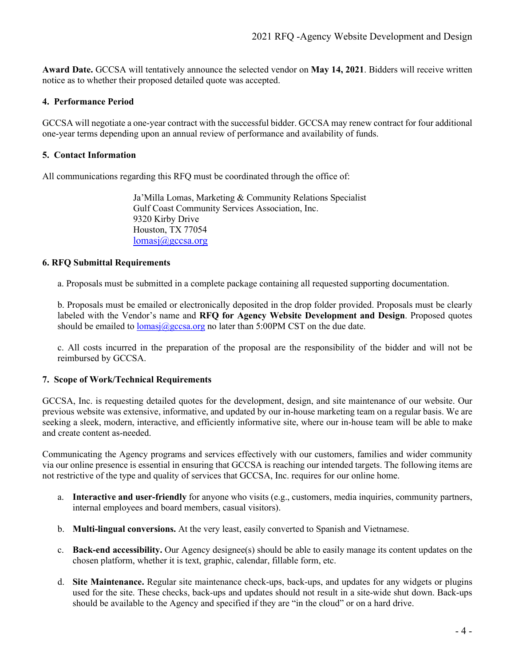**Award Date.** GCCSA will tentatively announce the selected vendor on **May 14, 2021**. Bidders will receive written notice as to whether their proposed detailed quote was accepted.

## **4. Performance Period**

GCCSA will negotiate a one-year contract with the successful bidder. GCCSA may renew contract for four additional one-year terms depending upon an annual review of performance and availability of funds.

## **5. Contact Information**

All communications regarding this RFQ must be coordinated through the office of:

Ja'Milla Lomas, Marketing & Community Relations Specialist Gulf Coast Community Services Association, Inc. 9320 Kirby Drive Houston, TX 77054 [lomasj@gccsa.org](mailto:lomasj@gccsa.org)

### **6. RFQ Submittal Requirements**

a. Proposals must be submitted in a complete package containing all requested supporting documentation.

b. Proposals must be emailed or electronically deposited in the drop folder provided. Proposals must be clearly labeled with the Vendor's name and **RFQ for Agency Website Development and Design**. Proposed quotes should be emailed to  $lomasi(\partial gccsa.org)$  no later than 5:00PM CST on the due date.

c. All costs incurred in the preparation of the proposal are the responsibility of the bidder and will not be reimbursed by GCCSA.

# **7. Scope of Work/Technical Requirements**

GCCSA, Inc. is requesting detailed quotes for the development, design, and site maintenance of our website. Our previous website was extensive, informative, and updated by our in-house marketing team on a regular basis. We are seeking a sleek, modern, interactive, and efficiently informative site, where our in-house team will be able to make and create content as-needed.

Communicating the Agency programs and services effectively with our customers, families and wider community via our online presence is essential in ensuring that GCCSA is reaching our intended targets. The following items are not restrictive of the type and quality of services that GCCSA, Inc. requires for our online home.

- a. **Interactive and user-friendly** for anyone who visits (e.g., customers, media inquiries, community partners, internal employees and board members, casual visitors).
- b. **Multi-lingual conversions.** At the very least, easily converted to Spanish and Vietnamese.
- c. **Back-end accessibility.** Our Agency designee(s) should be able to easily manage its content updates on the chosen platform, whether it is text, graphic, calendar, fillable form, etc.
- d. **Site Maintenance.** Regular site maintenance check-ups, back-ups, and updates for any widgets or plugins used for the site. These checks, back-ups and updates should not result in a site-wide shut down. Back-ups should be available to the Agency and specified if they are "in the cloud" or on a hard drive.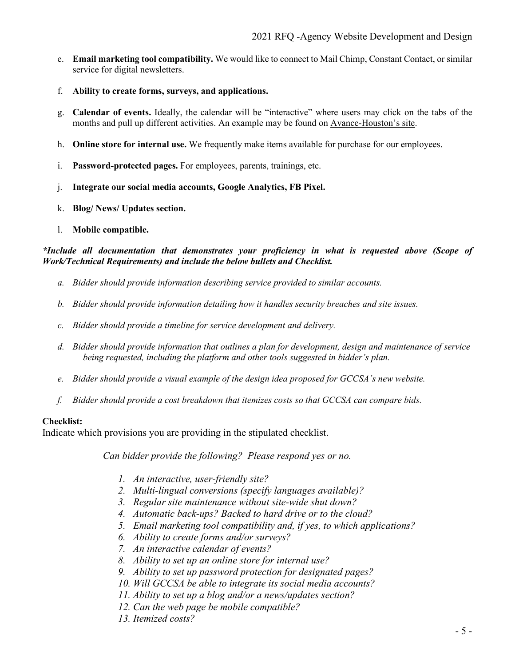- e. **Email marketing tool compatibility.** We would like to connect to Mail Chimp, Constant Contact, or similar service for digital newsletters.
- f. **Ability to create forms, surveys, and applications.**
- g. **Calendar of events.** Ideally, the calendar will be "interactive" where users may click on the tabs of the months and pull up different activities. An example may be found on [Avance-Houston's site.](https://www.avancehouston.org/parents/ages-0-3-eng-sp/#1591063619799-a95eb059-5f61)
- h. **Online store for internal use.** We frequently make items available for purchase for our employees.
- i. **Password-protected pages.** For employees, parents, trainings, etc.
- j. **Integrate our social media accounts, Google Analytics, FB Pixel.**
- k. **Blog/ News/ Updates section.**
- l. **Mobile compatible.**

*\*Include all documentation that demonstrates your proficiency in what is requested above (Scope of Work/Technical Requirements) and include the below bullets and Checklist.*

- *a. Bidder should provide information describing service provided to similar accounts.*
- *b. Bidder should provide information detailing how it handles security breaches and site issues.*
- *c. Bidder should provide a timeline for service development and delivery.*
- *d. Bidder should provide information that outlines a plan for development, design and maintenance of service being requested, including the platform and other tools suggested in bidder's plan.*
- *e. Bidder should provide a visual example of the design idea proposed for GCCSA's new website.*
- *f. Bidder should provide a cost breakdown that itemizes costs so that GCCSA can compare bids.*

### **Checklist:**

Indicate which provisions you are providing in the stipulated checklist.

*Can bidder provide the following? Please respond yes or no.*

- *1. An interactive, user-friendly site?*
- *2. Multi-lingual conversions (specify languages available)?*
- *3. Regular site maintenance without site-wide shut down?*
- *4. Automatic back-ups? Backed to hard drive or to the cloud?*
- *5. Email marketing tool compatibility and, if yes, to which applications?*
- *6. Ability to create forms and/or surveys?*
- *7. An interactive calendar of events?*
- *8. Ability to set up an online store for internal use?*
- *9. Ability to set up password protection for designated pages?*
- *10. Will GCCSA be able to integrate its social media accounts?*
- *11. Ability to set up a blog and/or a news/updates section?*
- *12. Can the web page be mobile compatible?*
- *13. Itemized costs?*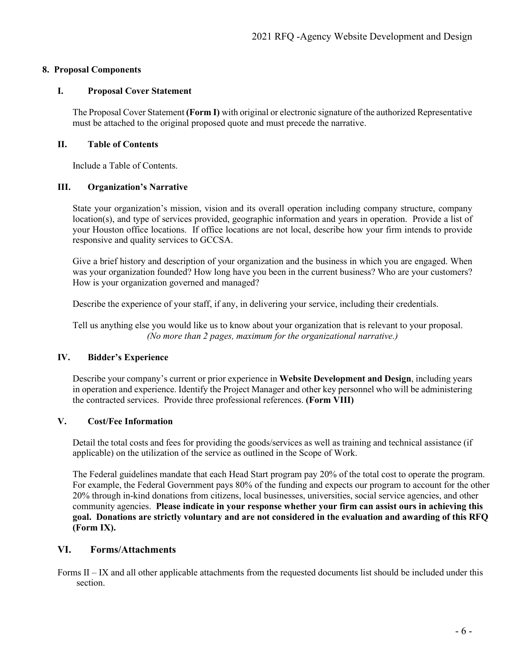# **8. Proposal Components**

# **I. Proposal Cover Statement**

The Proposal Cover Statement **(Form I)** with original or electronic signature of the authorized Representative must be attached to the original proposed quote and must precede the narrative.

# **II. Table of Contents**

Include a Table of Contents.

# **III. Organization's Narrative**

State your organization's mission, vision and its overall operation including company structure, company location(s), and type of services provided, geographic information and years in operation. Provide a list of your Houston office locations. If office locations are not local, describe how your firm intends to provide responsive and quality services to GCCSA.

Give a brief history and description of your organization and the business in which you are engaged. When was your organization founded? How long have you been in the current business? Who are your customers? How is your organization governed and managed?

Describe the experience of your staff, if any, in delivering your service, including their credentials.

Tell us anything else you would like us to know about your organization that is relevant to your proposal. *(No more than 2 pages, maximum for the organizational narrative.)*

# **IV. Bidder's Experience**

Describe your company's current or prior experience in **Website Development and Design**, including years in operation and experience. Identify the Project Manager and other key personnel who will be administering the contracted services. Provide three professional references. **(Form VIII)**

# **V. Cost/Fee Information**

Detail the total costs and fees for providing the goods/services as well as training and technical assistance (if applicable) on the utilization of the service as outlined in the Scope of Work.

The Federal guidelines mandate that each Head Start program pay 20% of the total cost to operate the program. For example, the Federal Government pays 80% of the funding and expects our program to account for the other 20% through in-kind donations from citizens, local businesses, universities, social service agencies, and other community agencies. **Please indicate in your response whether your firm can assist ours in achieving this goal. Donations are strictly voluntary and are not considered in the evaluation and awarding of this RFQ (Form IX).**

# **VI. Forms/Attachments**

Forms II – IX and all other applicable attachments from the requested documents list should be included under this section.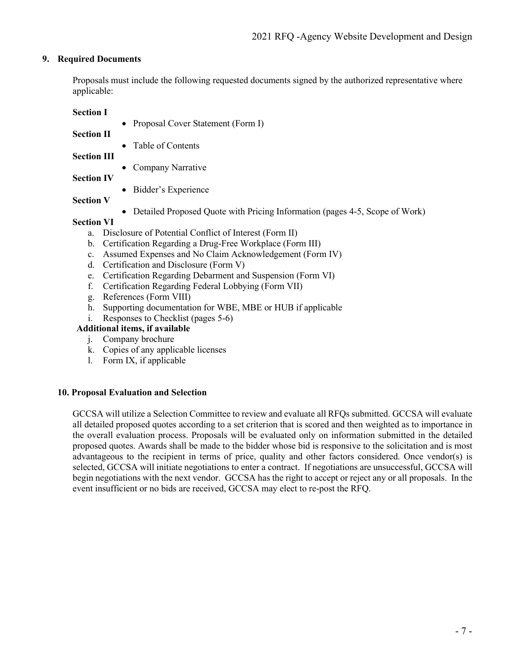# **9. Required Documents**

Proposals must include the following requested documents signed by the authorized representative where applicable:

**Section I**

- Proposal Cover Statement (Form I)
- **Section II**
- Table of Contents

**Section III**

- Company Narrative
- **Section IV**
- Bidder's Experience
- **Section V**
- Detailed Proposed Quote with Pricing Information (pages 4-5, Scope of Work)

# **Section VI**

- a. Disclosure of Potential Conflict of Interest (Form II)
- b. Certification Regarding a Drug-Free Workplace (Form III)
- c. Assumed Expenses and No Claim Acknowledgement (Form IV)
- d. Certification and Disclosure (Form V)
- e. Certification Regarding Debarment and Suspension (Form VI)
- f. Certification Regarding Federal Lobbying (Form VII)
- g. References (Form VIII)
- h. Supporting documentation for WBE, MBE or HUB if applicable
- i. Responses to Checklist (pages 5-6)

# **Additional items, if available**

- j. Company brochure
- k. Copies of any applicable licenses
- l. Form IX, if applicable

### **10. Proposal Evaluation and Selection**

GCCSA will utilize a Selection Committee to review and evaluate all RFQs submitted. GCCSA will evaluate all detailed proposed quotes according to a set criterion that is scored and then weighted as to importance in the overall evaluation process. Proposals will be evaluated only on information submitted in the detailed proposed quotes. Awards shall be made to the bidder whose bid is responsive to the solicitation and is most advantageous to the recipient in terms of price, quality and other factors considered. Once vendor(s) is selected, GCCSA will initiate negotiations to enter a contract. If negotiations are unsuccessful, GCCSA will begin negotiations with the next vendor. GCCSA has the right to accept or reject any or all proposals. In the event insufficient or no bids are received, GCCSA may elect to re-post the RFQ.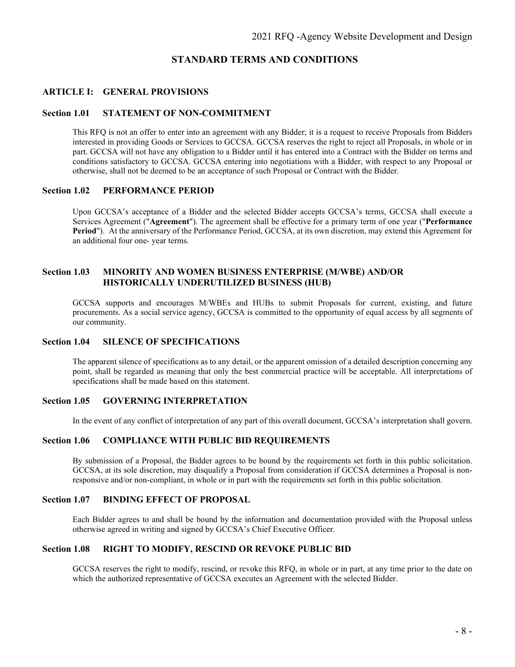## **STANDARD TERMS AND CONDITIONS**

#### **ARTICLE I: GENERAL PROVISIONS**

#### **Section 1.01 STATEMENT OF NON-COMMITMENT**

This RFQ is not an offer to enter into an agreement with any Bidder; it is a request to receive Proposals from Bidders interested in providing Goods or Services to GCCSA. GCCSA reserves the right to reject all Proposals, in whole or in part. GCCSA will not have any obligation to a Bidder until it has entered into a Contract with the Bidder on terms and conditions satisfactory to GCCSA. GCCSA entering into negotiations with a Bidder, with respect to any Proposal or otherwise, shall not be deemed to be an acceptance of such Proposal or Contract with the Bidder.

#### **Section 1.02 PERFORMANCE PERIOD**

Upon GCCSA's acceptance of a Bidder and the selected Bidder accepts GCCSA's terms, GCCSA shall execute a Services Agreement ("**Agreement**"). The agreement shall be effective for a primary term of one year ("**Performance Period**"). At the anniversary of the Performance Period, GCCSA, at its own discretion, may extend this Agreement for an additional four one- year terms.

#### **Section 1.03 MINORITY AND WOMEN BUSINESS ENTERPRISE (M/WBE) AND/OR HISTORICALLY UNDERUTILIZED BUSINESS (HUB)**

GCCSA supports and encourages M/WBEs and HUBs to submit Proposals for current, existing, and future procurements. As a social service agency, GCCSA is committed to the opportunity of equal access by all segments of our community.

#### **Section 1.04 SILENCE OF SPECIFICATIONS**

The apparent silence of specifications as to any detail, or the apparent omission of a detailed description concerning any point, shall be regarded as meaning that only the best commercial practice will be acceptable. All interpretations of specifications shall be made based on this statement.

#### **Section 1.05 GOVERNING INTERPRETATION**

In the event of any conflict of interpretation of any part of this overall document, GCCSA's interpretation shall govern.

#### **Section 1.06 COMPLIANCE WITH PUBLIC BID REQUIREMENTS**

By submission of a Proposal, the Bidder agrees to be bound by the requirements set forth in this public solicitation. GCCSA, at its sole discretion, may disqualify a Proposal from consideration if GCCSA determines a Proposal is nonresponsive and/or non-compliant, in whole or in part with the requirements set forth in this public solicitation.

## **Section 1.07 BINDING EFFECT OF PROPOSAL**

Each Bidder agrees to and shall be bound by the information and documentation provided with the Proposal unless otherwise agreed in writing and signed by GCCSA's Chief Executive Officer.

#### **Section 1.08 RIGHT TO MODIFY, RESCIND OR REVOKE PUBLIC BID**

GCCSA reserves the right to modify, rescind, or revoke this RFQ, in whole or in part, at any time prior to the date on which the authorized representative of GCCSA executes an Agreement with the selected Bidder.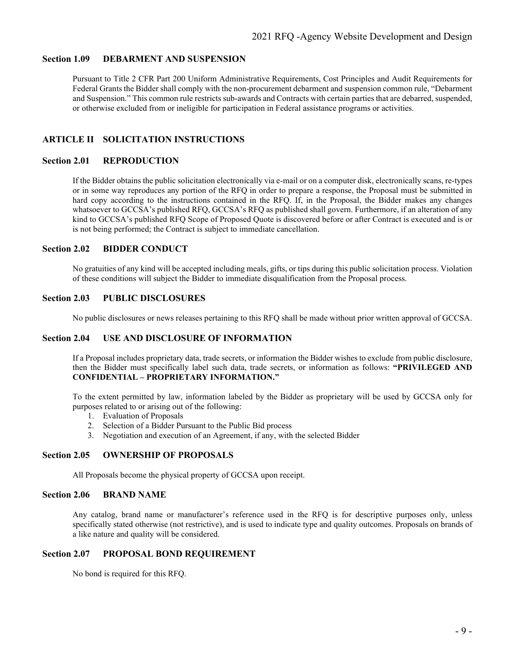#### **Section 1.09 DEBARMENT AND SUSPENSION**

Pursuant to Title 2 CFR Part 200 Uniform Administrative Requirements, Cost Principles and Audit Requirements for Federal Grants the Bidder shall comply with the non-procurement debarment and suspension common rule, "Debarment and Suspension." This common rule restricts sub-awards and Contracts with certain parties that are debarred, suspended, or otherwise excluded from or ineligible for participation in Federal assistance programs or activities.

# **ARTICLE II SOLICITATION INSTRUCTIONS**

#### **Section 2.01 REPRODUCTION**

If the Bidder obtains the public solicitation electronically via e-mail or on a computer disk, electronically scans, re-types or in some way reproduces any portion of the RFQ in order to prepare a response, the Proposal must be submitted in hard copy according to the instructions contained in the RFQ. If, in the Proposal, the Bidder makes any changes whatsoever to GCCSA's published RFQ, GCCSA's RFQ as published shall govern. Furthermore, if an alteration of any kind to GCCSA's published RFQ Scope of Proposed Quote is discovered before or after Contract is executed and is or is not being performed; the Contract is subject to immediate cancellation.

#### **Section 2.02 BIDDER CONDUCT**

No gratuities of any kind will be accepted including meals, gifts, or tips during this public solicitation process. Violation of these conditions will subject the Bidder to immediate disqualification from the Proposal process.

#### **Section 2.03 PUBLIC DISCLOSURES**

No public disclosures or news releases pertaining to this RFQ shall be made without prior written approval of GCCSA.

#### **Section 2.04 USE AND DISCLOSURE OF INFORMATION**

If a Proposal includes proprietary data, trade secrets, or information the Bidder wishes to exclude from public disclosure, then the Bidder must specifically label such data, trade secrets, or information as follows: **"PRIVILEGED AND CONFIDENTIAL – PROPRIETARY INFORMATION."**

To the extent permitted by law, information labeled by the Bidder as proprietary will be used by GCCSA only for purposes related to or arising out of the following:

- 1. Evaluation of Proposals
- 2. Selection of a Bidder Pursuant to the Public Bid process
- 3. Negotiation and execution of an Agreement, if any, with the selected Bidder

#### **Section 2.05 OWNERSHIP OF PROPOSALS**

All Proposals become the physical property of GCCSA upon receipt.

#### **Section 2.06 BRAND NAME**

Any catalog, brand name or manufacturer's reference used in the RFQ is for descriptive purposes only, unless specifically stated otherwise (not restrictive), and is used to indicate type and quality outcomes. Proposals on brands of a like nature and quality will be considered.

#### **Section 2.07 PROPOSAL BOND REQUIREMENT**

No bond is required for this RFQ.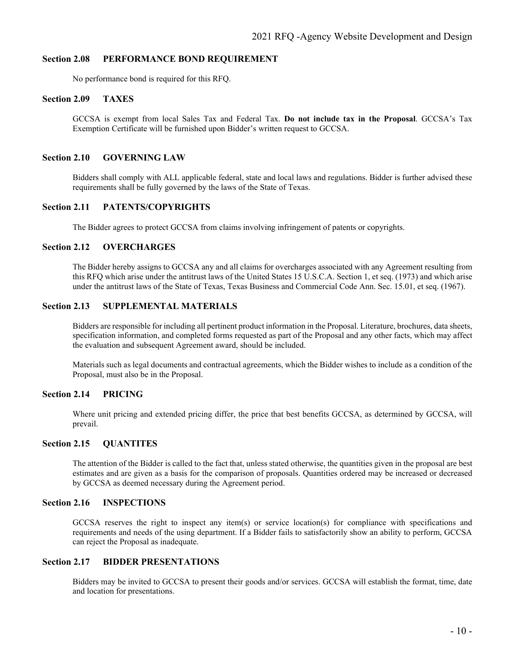#### **Section 2.08 PERFORMANCE BOND REQUIREMENT**

No performance bond is required for this RFQ.

#### **Section 2.09 TAXES**

GCCSA is exempt from local Sales Tax and Federal Tax. **Do not include tax in the Proposal**. GCCSA's Tax Exemption Certificate will be furnished upon Bidder's written request to GCCSA.

#### **Section 2.10 GOVERNING LAW**

Bidders shall comply with ALL applicable federal, state and local laws and regulations. Bidder is further advised these requirements shall be fully governed by the laws of the State of Texas.

#### **Section 2.11 PATENTS/COPYRIGHTS**

The Bidder agrees to protect GCCSA from claims involving infringement of patents or copyrights.

#### **Section 2.12 OVERCHARGES**

The Bidder hereby assigns to GCCSA any and all claims for overcharges associated with any Agreement resulting from this RFQ which arise under the antitrust laws of the United States 15 U.S.C.A. Section 1, et seq. (1973) and which arise under the antitrust laws of the State of Texas, Texas Business and Commercial Code Ann. Sec. 15.01, et seq. (1967).

#### **Section 2.13 SUPPLEMENTAL MATERIALS**

Bidders are responsible for including all pertinent product information in the Proposal. Literature, brochures, data sheets, specification information, and completed forms requested as part of the Proposal and any other facts, which may affect the evaluation and subsequent Agreement award, should be included.

Materials such as legal documents and contractual agreements, which the Bidder wishes to include as a condition of the Proposal, must also be in the Proposal.

#### **Section 2.14 PRICING**

Where unit pricing and extended pricing differ, the price that best benefits GCCSA, as determined by GCCSA, will prevail.

#### **Section 2.15 QUANTITES**

The attention of the Bidder is called to the fact that, unless stated otherwise, the quantities given in the proposal are best estimates and are given as a basis for the comparison of proposals. Quantities ordered may be increased or decreased by GCCSA as deemed necessary during the Agreement period.

#### **Section 2.16 INSPECTIONS**

GCCSA reserves the right to inspect any item(s) or service location(s) for compliance with specifications and requirements and needs of the using department. If a Bidder fails to satisfactorily show an ability to perform, GCCSA can reject the Proposal as inadequate.

#### **Section 2.17 BIDDER PRESENTATIONS**

Bidders may be invited to GCCSA to present their goods and/or services. GCCSA will establish the format, time, date and location for presentations.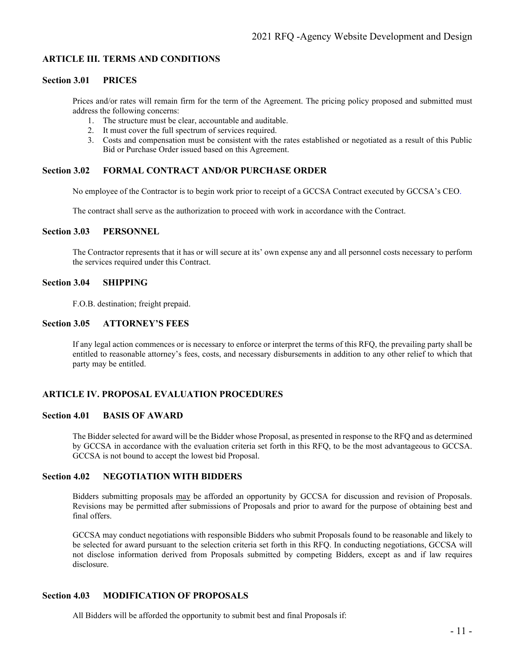#### **ARTICLE III. TERMS AND CONDITIONS**

#### **Section 3.01 PRICES**

Prices and/or rates will remain firm for the term of the Agreement. The pricing policy proposed and submitted must address the following concerns:

- 1. The structure must be clear, accountable and auditable.
- 2. It must cover the full spectrum of services required.
- 3. Costs and compensation must be consistent with the rates established or negotiated as a result of this Public Bid or Purchase Order issued based on this Agreement.

#### **Section 3.02 FORMAL CONTRACT AND/OR PURCHASE ORDER**

No employee of the Contractor is to begin work prior to receipt of a GCCSA Contract executed by GCCSA's CEO.

The contract shall serve as the authorization to proceed with work in accordance with the Contract.

## **Section 3.03 PERSONNEL**

The Contractor represents that it has or will secure at its' own expense any and all personnel costs necessary to perform the services required under this Contract.

#### **Section 3.04 SHIPPING**

F.O.B. destination; freight prepaid.

#### **Section 3.05 ATTORNEY'S FEES**

If any legal action commences or is necessary to enforce or interpret the terms of this RFQ, the prevailing party shall be entitled to reasonable attorney's fees, costs, and necessary disbursements in addition to any other relief to which that party may be entitled.

#### **ARTICLE IV. PROPOSAL EVALUATION PROCEDURES**

#### **Section 4.01 BASIS OF AWARD**

The Bidder selected for award will be the Bidder whose Proposal, as presented in response to the RFQ and as determined by GCCSA in accordance with the evaluation criteria set forth in this RFQ, to be the most advantageous to GCCSA. GCCSA is not bound to accept the lowest bid Proposal.

#### **Section 4.02 NEGOTIATION WITH BIDDERS**

Bidders submitting proposals may be afforded an opportunity by GCCSA for discussion and revision of Proposals. Revisions may be permitted after submissions of Proposals and prior to award for the purpose of obtaining best and final offers.

GCCSA may conduct negotiations with responsible Bidders who submit Proposals found to be reasonable and likely to be selected for award pursuant to the selection criteria set forth in this RFQ. In conducting negotiations, GCCSA will not disclose information derived from Proposals submitted by competing Bidders, except as and if law requires disclosure.

#### **Section 4.03 MODIFICATION OF PROPOSALS**

All Bidders will be afforded the opportunity to submit best and final Proposals if: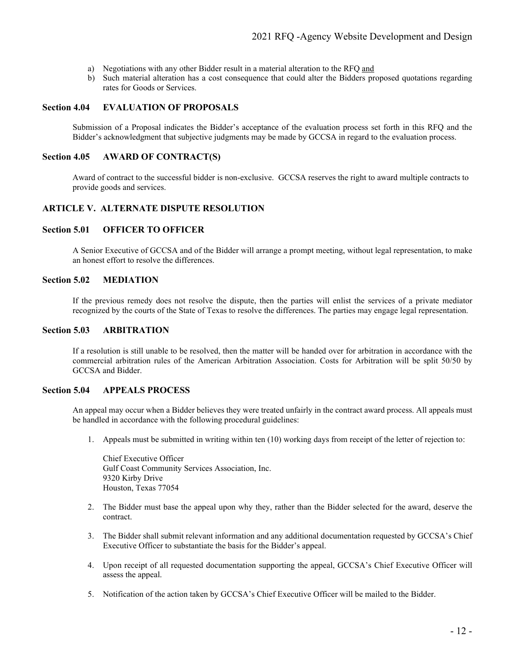- a) Negotiations with any other Bidder result in a material alteration to the RFQ and
- b) Such material alteration has a cost consequence that could alter the Bidders proposed quotations regarding rates for Goods or Services.

#### **Section 4.04 EVALUATION OF PROPOSALS**

Submission of a Proposal indicates the Bidder's acceptance of the evaluation process set forth in this RFQ and the Bidder's acknowledgment that subjective judgments may be made by GCCSA in regard to the evaluation process.

#### **Section 4.05 AWARD OF CONTRACT(S)**

Award of contract to the successful bidder is non-exclusive. GCCSA reserves the right to award multiple contracts to provide goods and services.

#### **ARTICLE V. ALTERNATE DISPUTE RESOLUTION**

#### **Section 5.01 OFFICER TO OFFICER**

A Senior Executive of GCCSA and of the Bidder will arrange a prompt meeting, without legal representation, to make an honest effort to resolve the differences.

# **Section 5.02 MEDIATION**

If the previous remedy does not resolve the dispute, then the parties will enlist the services of a private mediator recognized by the courts of the State of Texas to resolve the differences. The parties may engage legal representation.

#### **Section 5.03 ARBITRATION**

If a resolution is still unable to be resolved, then the matter will be handed over for arbitration in accordance with the commercial arbitration rules of the American Arbitration Association. Costs for Arbitration will be split 50/50 by GCCSA and Bidder.

#### **Section 5.04 APPEALS PROCESS**

An appeal may occur when a Bidder believes they were treated unfairly in the contract award process. All appeals must be handled in accordance with the following procedural guidelines:

1. Appeals must be submitted in writing within ten (10) working days from receipt of the letter of rejection to:

Chief Executive Officer Gulf Coast Community Services Association, Inc. 9320 Kirby Drive Houston, Texas 77054

- 2. The Bidder must base the appeal upon why they, rather than the Bidder selected for the award, deserve the contract.
- 3. The Bidder shall submit relevant information and any additional documentation requested by GCCSA's Chief Executive Officer to substantiate the basis for the Bidder's appeal.
- 4. Upon receipt of all requested documentation supporting the appeal, GCCSA's Chief Executive Officer will assess the appeal.
- 5. Notification of the action taken by GCCSA's Chief Executive Officer will be mailed to the Bidder.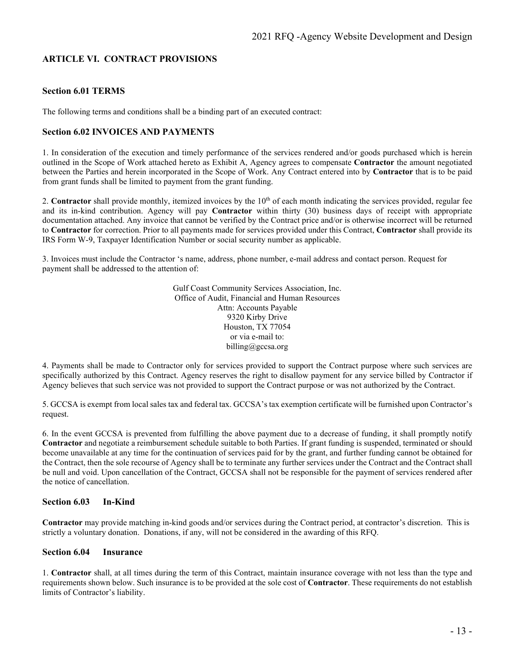# **ARTICLE VI. CONTRACT PROVISIONS**

#### **Section 6.01 TERMS**

The following terms and conditions shall be a binding part of an executed contract:

#### **Section 6.02 INVOICES AND PAYMENTS**

1. In consideration of the execution and timely performance of the services rendered and/or goods purchased which is herein outlined in the Scope of Work attached hereto as Exhibit A, Agency agrees to compensate **Contractor** the amount negotiated between the Parties and herein incorporated in the Scope of Work. Any Contract entered into by **Contractor** that is to be paid from grant funds shall be limited to payment from the grant funding.

2. **Contractor** shall provide monthly, itemized invoices by the 10<sup>th</sup> of each month indicating the services provided, regular fee and its in-kind contribution. Agency will pay **Contractor** within thirty (30) business days of receipt with appropriate documentation attached. Any invoice that cannot be verified by the Contract price and/or is otherwise incorrect will be returned to **Contractor** for correction. Prior to all payments made for services provided under this Contract, **Contractor** shall provide its IRS Form W-9, Taxpayer Identification Number or social security number as applicable.

3. Invoices must include the Contractor 's name, address, phone number, e-mail address and contact person. Request for payment shall be addressed to the attention of:

> Gulf Coast Community Services Association, Inc. Office of Audit, Financial and Human Resources Attn: Accounts Payable 9320 Kirby Drive Houston, TX 77054 or via e-mail to: billing@gccsa.org

4. Payments shall be made to Contractor only for services provided to support the Contract purpose where such services are specifically authorized by this Contract. Agency reserves the right to disallow payment for any service billed by Contractor if Agency believes that such service was not provided to support the Contract purpose or was not authorized by the Contract.

5. GCCSA is exempt from local sales tax and federal tax. GCCSA's tax exemption certificate will be furnished upon Contractor's request.

6. In the event GCCSA is prevented from fulfilling the above payment due to a decrease of funding, it shall promptly notify **Contractor** and negotiate a reimbursement schedule suitable to both Parties. If grant funding is suspended, terminated or should become unavailable at any time for the continuation of services paid for by the grant, and further funding cannot be obtained for the Contract, then the sole recourse of Agency shall be to terminate any further services under the Contract and the Contract shall be null and void. Upon cancellation of the Contract, GCCSA shall not be responsible for the payment of services rendered after the notice of cancellation.

#### **Section 6.03 In-Kind**

**Contractor** may provide matching in-kind goods and/or services during the Contract period, at contractor's discretion. This is strictly a voluntary donation. Donations, if any, will not be considered in the awarding of this RFQ.

#### **Section 6.04 Insurance**

1. **Contractor** shall, at all times during the term of this Contract, maintain insurance coverage with not less than the type and requirements shown below. Such insurance is to be provided at the sole cost of **Contractor**. These requirements do not establish limits of Contractor's liability.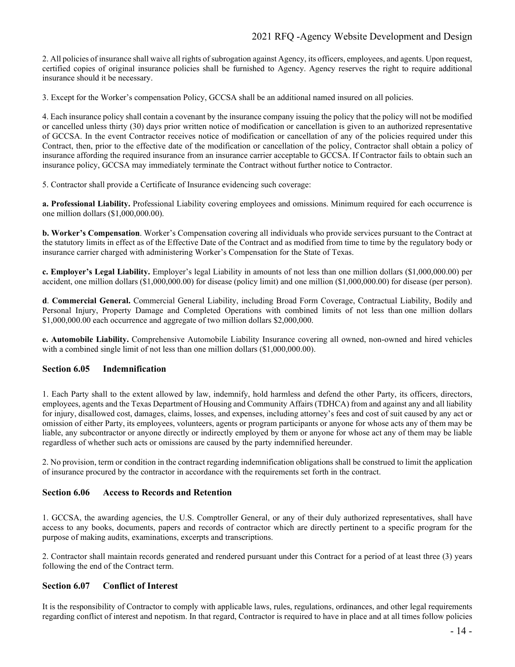# 2021 RFQ -Agency Website Development and Design

2. All policies of insurance shall waive all rights of subrogation against Agency, its officers, employees, and agents. Upon request, certified copies of original insurance policies shall be furnished to Agency. Agency reserves the right to require additional insurance should it be necessary.

3. Except for the Worker's compensation Policy, GCCSA shall be an additional named insured on all policies.

4. Each insurance policy shall contain a covenant by the insurance company issuing the policy that the policy will not be modified or cancelled unless thirty (30) days prior written notice of modification or cancellation is given to an authorized representative of GCCSA. In the event Contractor receives notice of modification or cancellation of any of the policies required under this Contract, then, prior to the effective date of the modification or cancellation of the policy, Contractor shall obtain a policy of insurance affording the required insurance from an insurance carrier acceptable to GCCSA. If Contractor fails to obtain such an insurance policy, GCCSA may immediately terminate the Contract without further notice to Contractor.

5. Contractor shall provide a Certificate of Insurance evidencing such coverage:

**a. Professional Liability.** Professional Liability covering employees and omissions. Minimum required for each occurrence is one million dollars (\$1,000,000.00).

**b. Worker's Compensation**. Worker's Compensation covering all individuals who provide services pursuant to the Contract at the statutory limits in effect as of the Effective Date of the Contract and as modified from time to time by the regulatory body or insurance carrier charged with administering Worker's Compensation for the State of Texas.

**c. Employer's Legal Liability.** Employer's legal Liability in amounts of not less than one million dollars (\$1,000,000.00) per accident, one million dollars (\$1,000,000.00) for disease (policy limit) and one million (\$1,000,000.00) for disease (per person).

**d**. **Commercial General.** Commercial General Liability, including Broad Form Coverage, Contractual Liability, Bodily and Personal Injury, Property Damage and Completed Operations with combined limits of not less than one million dollars \$1,000,000.00 each occurrence and aggregate of two million dollars \$2,000,000.

**e. Automobile Liability.** Comprehensive Automobile Liability Insurance covering all owned, non-owned and hired vehicles with a combined single limit of not less than one million dollars (\$1,000,000.00).

### **Section 6.05 Indemnification**

1. Each Party shall to the extent allowed by law, indemnify, hold harmless and defend the other Party, its officers, directors, employees, agents and the Texas Department of Housing and Community Affairs (TDHCA) from and against any and all liability for injury, disallowed cost, damages, claims, losses, and expenses, including attorney's fees and cost of suit caused by any act or omission of either Party, its employees, volunteers, agents or program participants or anyone for whose acts any of them may be liable, any subcontractor or anyone directly or indirectly employed by them or anyone for whose act any of them may be liable regardless of whether such acts or omissions are caused by the party indemnified hereunder.

2. No provision, term or condition in the contract regarding indemnification obligations shall be construed to limit the application of insurance procured by the contractor in accordance with the requirements set forth in the contract.

#### **Section 6.06 Access to Records and Retention**

1. GCCSA, the awarding agencies, the U.S. Comptroller General, or any of their duly authorized representatives, shall have access to any books, documents, papers and records of contractor which are directly pertinent to a specific program for the purpose of making audits, examinations, excerpts and transcriptions.

2. Contractor shall maintain records generated and rendered pursuant under this Contract for a period of at least three (3) years following the end of the Contract term.

#### **Section 6.07 Conflict of Interest**

It is the responsibility of Contractor to comply with applicable laws, rules, regulations, ordinances, and other legal requirements regarding conflict of interest and nepotism. In that regard, Contractor is required to have in place and at all times follow policies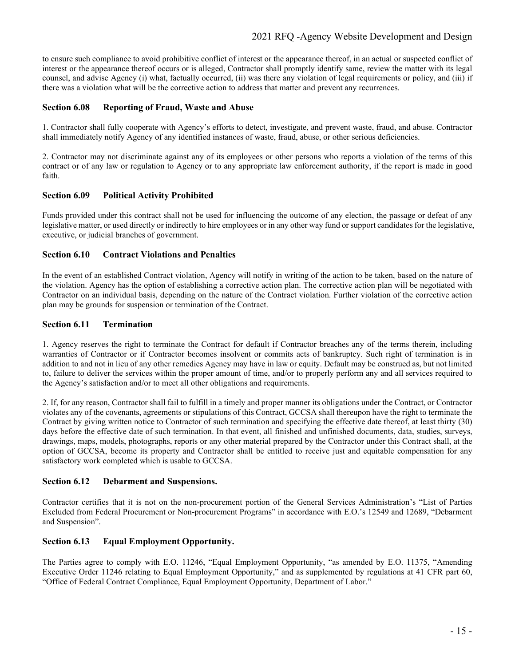# 2021 RFQ -Agency Website Development and Design

to ensure such compliance to avoid prohibitive conflict of interest or the appearance thereof, in an actual or suspected conflict of interest or the appearance thereof occurs or is alleged, Contractor shall promptly identify same, review the matter with its legal counsel, and advise Agency (i) what, factually occurred, (ii) was there any violation of legal requirements or policy, and (iii) if there was a violation what will be the corrective action to address that matter and prevent any recurrences.

#### **Section 6.08 Reporting of Fraud, Waste and Abuse**

1. Contractor shall fully cooperate with Agency's efforts to detect, investigate, and prevent waste, fraud, and abuse. Contractor shall immediately notify Agency of any identified instances of waste, fraud, abuse, or other serious deficiencies.

2. Contractor may not discriminate against any of its employees or other persons who reports a violation of the terms of this contract or of any law or regulation to Agency or to any appropriate law enforcement authority, if the report is made in good faith.

#### **Section 6.09 Political Activity Prohibited**

Funds provided under this contract shall not be used for influencing the outcome of any election, the passage or defeat of any legislative matter, or used directly or indirectly to hire employees or in any other way fund or support candidates for the legislative, executive, or judicial branches of government.

# **Section 6.10 Contract Violations and Penalties**

In the event of an established Contract violation, Agency will notify in writing of the action to be taken, based on the nature of the violation. Agency has the option of establishing a corrective action plan. The corrective action plan will be negotiated with Contractor on an individual basis, depending on the nature of the Contract violation. Further violation of the corrective action plan may be grounds for suspension or termination of the Contract.

#### **Section 6.11 Termination**

1. Agency reserves the right to terminate the Contract for default if Contractor breaches any of the terms therein, including warranties of Contractor or if Contractor becomes insolvent or commits acts of bankruptcy. Such right of termination is in addition to and not in lieu of any other remedies Agency may have in law or equity. Default may be construed as, but not limited to, failure to deliver the services within the proper amount of time, and/or to properly perform any and all services required to the Agency's satisfaction and/or to meet all other obligations and requirements.

2. If, for any reason, Contractor shall fail to fulfill in a timely and proper manner its obligations under the Contract, or Contractor violates any of the covenants, agreements or stipulations of this Contract, GCCSA shall thereupon have the right to terminate the Contract by giving written notice to Contractor of such termination and specifying the effective date thereof, at least thirty (30) days before the effective date of such termination. In that event, all finished and unfinished documents, data, studies, surveys, drawings, maps, models, photographs, reports or any other material prepared by the Contractor under this Contract shall, at the option of GCCSA, become its property and Contractor shall be entitled to receive just and equitable compensation for any satisfactory work completed which is usable to GCCSA.

#### **Section 6.12 Debarment and Suspensions.**

Contractor certifies that it is not on the non-procurement portion of the General Services Administration's "List of Parties Excluded from Federal Procurement or Non-procurement Programs" in accordance with E.O.'s 12549 and 12689, "Debarment and Suspension".

### **Section 6.13 Equal Employment Opportunity.**

The Parties agree to comply with E.O. 11246, "Equal Employment Opportunity, "as amended by E.O. 11375, "Amending Executive Order 11246 relating to Equal Employment Opportunity," and as supplemented by regulations at 41 CFR part 60, "Office of Federal Contract Compliance, Equal Employment Opportunity, Department of Labor."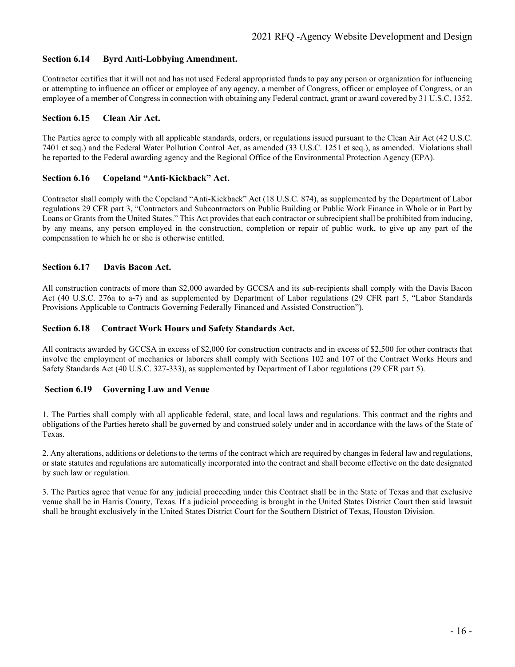#### **Section 6.14 Byrd Anti-Lobbying Amendment.**

Contractor certifies that it will not and has not used Federal appropriated funds to pay any person or organization for influencing or attempting to influence an officer or employee of any agency, a member of Congress, officer or employee of Congress, or an employee of a member of Congress in connection with obtaining any Federal contract, grant or award covered by 31 U.S.C. 1352.

#### **Section 6.15 Clean Air Act.**

The Parties agree to comply with all applicable standards, orders, or regulations issued pursuant to the Clean Air Act (42 U.S.C. 7401 et seq.) and the Federal Water Pollution Control Act, as amended (33 U.S.C. 1251 et seq.), as amended. Violations shall be reported to the Federal awarding agency and the Regional Office of the Environmental Protection Agency (EPA).

### **Section 6.16 Copeland "Anti-Kickback" Act.**

Contractor shall comply with the Copeland "Anti-Kickback" Act (18 U.S.C. 874), as supplemented by the Department of Labor regulations 29 CFR part 3, "Contractors and Subcontractors on Public Building or Public Work Finance in Whole or in Part by Loans or Grants from the United States." This Act provides that each contractor or subrecipient shall be prohibited from inducing, by any means, any person employed in the construction, completion or repair of public work, to give up any part of the compensation to which he or she is otherwise entitled.

#### **Section 6.17 Davis Bacon Act.**

All construction contracts of more than \$2,000 awarded by GCCSA and its sub-recipients shall comply with the Davis Bacon Act (40 U.S.C. 276a to a-7) and as supplemented by Department of Labor regulations (29 CFR part 5, "Labor Standards Provisions Applicable to Contracts Governing Federally Financed and Assisted Construction").

#### **Section 6.18 Contract Work Hours and Safety Standards Act.**

All contracts awarded by GCCSA in excess of \$2,000 for construction contracts and in excess of \$2,500 for other contracts that involve the employment of mechanics or laborers shall comply with Sections 102 and 107 of the Contract Works Hours and Safety Standards Act (40 U.S.C. 327-333), as supplemented by Department of Labor regulations (29 CFR part 5).

### **Section 6.19 Governing Law and Venue**

1. The Parties shall comply with all applicable federal, state, and local laws and regulations. This contract and the rights and obligations of the Parties hereto shall be governed by and construed solely under and in accordance with the laws of the State of Texas.

2. Any alterations, additions or deletions to the terms of the contract which are required by changes in federal law and regulations, or state statutes and regulations are automatically incorporated into the contract and shall become effective on the date designated by such law or regulation.

3. The Parties agree that venue for any judicial proceeding under this Contract shall be in the State of Texas and that exclusive venue shall be in Harris County, Texas. If a judicial proceeding is brought in the United States District Court then said lawsuit shall be brought exclusively in the United States District Court for the Southern District of Texas, Houston Division.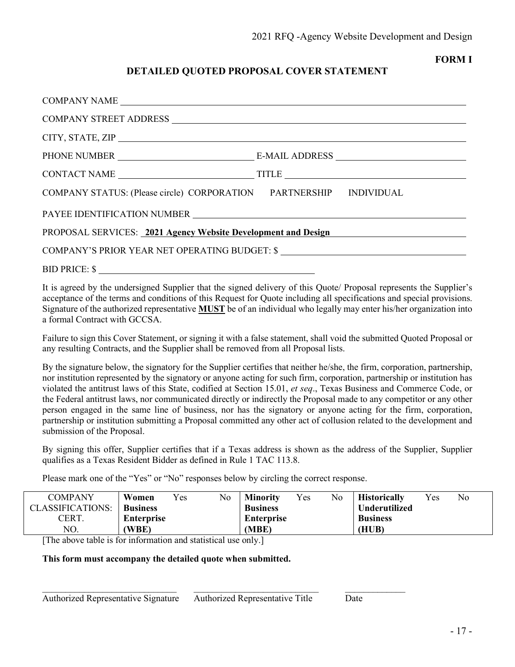# **FORM I**

# **DETAILED QUOTED PROPOSAL COVER STATEMENT**

| COMPANY STATUS: (Please circle) CORPORATION PARTNERSHIP INDIVIDUAL                                                          |  |  |  |
|-----------------------------------------------------------------------------------------------------------------------------|--|--|--|
|                                                                                                                             |  |  |  |
| PROPOSAL SERVICES: 2021 Agency Website Development and Design PROPOSAL SERVICES: 2021 Agency Website Development and Design |  |  |  |
|                                                                                                                             |  |  |  |
| BID PRICE: \$                                                                                                               |  |  |  |

It is agreed by the undersigned Supplier that the signed delivery of this Quote/ Proposal represents the Supplier's acceptance of the terms and conditions of this Request for Quote including all specifications and special provisions. Signature of the authorized representative **MUST** be of an individual who legally may enter his/her organization into a formal Contract with GCCSA.

Failure to sign this Cover Statement, or signing it with a false statement, shall void the submitted Quoted Proposal or any resulting Contracts, and the Supplier shall be removed from all Proposal lists.

By the signature below, the signatory for the Supplier certifies that neither he/she, the firm, corporation, partnership, nor institution represented by the signatory or anyone acting for such firm, corporation, partnership or institution has violated the antitrust laws of this State, codified at Section 15.01, *et seq*., Texas Business and Commerce Code, or the Federal antitrust laws, nor communicated directly or indirectly the Proposal made to any competitor or any other person engaged in the same line of business, nor has the signatory or anyone acting for the firm, corporation, partnership or institution submitting a Proposal committed any other act of collusion related to the development and submission of the Proposal.

By signing this offer, Supplier certifies that if a Texas address is shown as the address of the Supplier, Supplier qualifies as a Texas Resident Bidder as defined in Rule 1 TAC 113.8.

Please mark one of the "Yes" or "No" responses below by circling the correct response.

| COMPANY                 | Women             | $v_{es}$ | No | <b>Minority</b>   | Yes | No. | <b>Historically</b>  | Yes. | No |
|-------------------------|-------------------|----------|----|-------------------|-----|-----|----------------------|------|----|
| <b>CLASSIFICATIONS:</b> | <b>Business</b>   |          |    | <b>Business</b>   |     |     | <b>Underutilized</b> |      |    |
| CERT.                   | <b>Enterprise</b> |          |    | <b>Enterprise</b> |     |     | <b>Business</b>      |      |    |
| NO.                     | (WBE)             |          |    | (MBE)             |     |     | (HUB)                |      |    |
| ----<br>.               |                   | .        |    |                   |     |     |                      |      |    |

[The above table is for information and statistical use only.]

**This form must accompany the detailed quote when submitted.**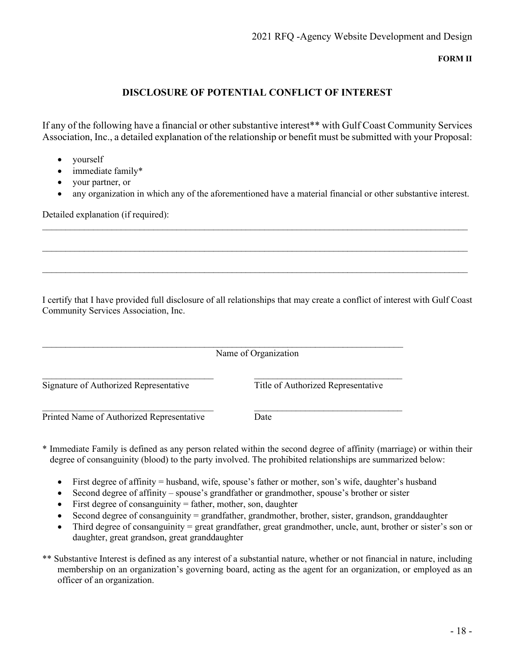**FORM II**

# **DISCLOSURE OF POTENTIAL CONFLICT OF INTEREST**

If any of the following have a financial or other substantive interest\*\* with Gulf Coast Community Services Association, Inc., a detailed explanation of the relationship or benefit must be submitted with your Proposal:

- yourself
- immediate family\*
- your partner, or
- any organization in which any of the aforementioned have a material financial or other substantive interest.

\_\_\_\_\_\_\_\_\_\_\_\_\_\_\_\_\_\_\_\_\_\_\_\_\_\_\_\_\_\_\_\_\_\_\_\_\_\_\_\_\_\_\_\_\_\_\_\_\_\_\_\_\_\_\_\_\_\_\_\_\_\_\_\_\_\_\_\_\_\_\_\_\_\_\_\_\_\_\_\_\_\_\_\_\_\_\_\_\_\_\_\_

 $\_$  ,  $\_$  ,  $\_$  ,  $\_$  ,  $\_$  ,  $\_$  ,  $\_$  ,  $\_$  ,  $\_$  ,  $\_$  ,  $\_$  ,  $\_$  ,  $\_$  ,  $\_$  ,  $\_$  ,  $\_$  ,  $\_$  ,  $\_$  ,  $\_$  ,  $\_$  ,  $\_$  ,  $\_$  ,  $\_$  ,  $\_$  ,  $\_$  ,  $\_$  ,  $\_$  ,  $\_$  ,  $\_$  ,  $\_$  ,  $\_$  ,  $\_$  ,  $\_$  ,  $\_$  ,  $\_$  ,  $\_$  ,  $\_$  ,

 $\_$  ,  $\_$  ,  $\_$  ,  $\_$  ,  $\_$  ,  $\_$  ,  $\_$  ,  $\_$  ,  $\_$  ,  $\_$  ,  $\_$  ,  $\_$  ,  $\_$  ,  $\_$  ,  $\_$  ,  $\_$  ,  $\_$  ,  $\_$  ,  $\_$  ,  $\_$  ,  $\_$  ,  $\_$  ,  $\_$  ,  $\_$  ,  $\_$  ,  $\_$  ,  $\_$  ,  $\_$  ,  $\_$  ,  $\_$  ,  $\_$  ,  $\_$  ,  $\_$  ,  $\_$  ,  $\_$  ,  $\_$  ,  $\_$  ,

Detailed explanation (if required):

I certify that I have provided full disclosure of all relationships that may create a conflict of interest with Gulf Coast Community Services Association, Inc.

| Name of Organization                      |                                    |
|-------------------------------------------|------------------------------------|
| Signature of Authorized Representative    | Title of Authorized Representative |
| Printed Name of Authorized Representative | Date                               |

- \* Immediate Family is defined as any person related within the second degree of affinity (marriage) or within their degree of consanguinity (blood) to the party involved. The prohibited relationships are summarized below:
	- First degree of affinity = husband, wife, spouse's father or mother, son's wife, daughter's husband
	- Second degree of affinity spouse's grandfather or grandmother, spouse's brother or sister
	- First degree of consanguinity  $=$  father, mother, son, daughter
	- Second degree of consanguinity = grandfather, grandmother, brother, sister, grandson, granddaughter
	- Third degree of consanguinity = great grandfather, great grandmother, uncle, aunt, brother or sister's son or daughter, great grandson, great granddaughter
- \*\* Substantive Interest is defined as any interest of a substantial nature, whether or not financial in nature, including membership on an organization's governing board, acting as the agent for an organization, or employed as an officer of an organization.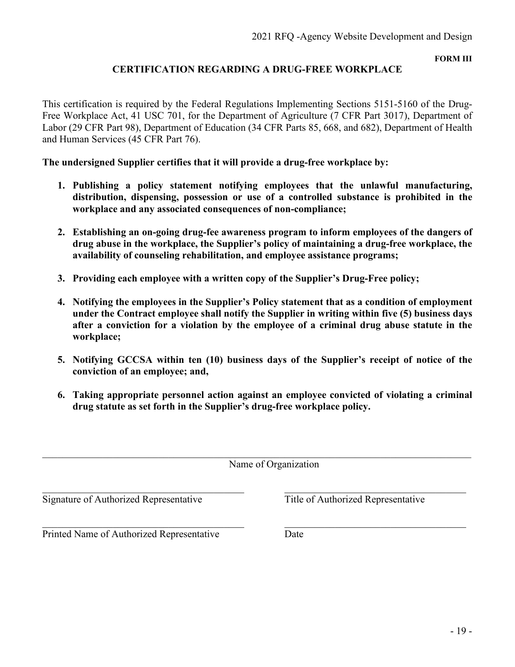**FORM III**

# **CERTIFICATION REGARDING A DRUG-FREE WORKPLACE**

This certification is required by the Federal Regulations Implementing Sections 5151-5160 of the Drug-Free Workplace Act, 41 USC 701, for the Department of Agriculture (7 CFR Part 3017), Department of Labor (29 CFR Part 98), Department of Education (34 CFR Parts 85, 668, and 682), Department of Health and Human Services (45 CFR Part 76).

**The undersigned Supplier certifies that it will provide a drug-free workplace by:**

- **1. Publishing a policy statement notifying employees that the unlawful manufacturing, distribution, dispensing, possession or use of a controlled substance is prohibited in the workplace and any associated consequences of non-compliance;**
- **2. Establishing an on-going drug-fee awareness program to inform employees of the dangers of drug abuse in the workplace, the Supplier's policy of maintaining a drug-free workplace, the availability of counseling rehabilitation, and employee assistance programs;**
- **3. Providing each employee with a written copy of the Supplier's Drug-Free policy;**
- **4. Notifying the employees in the Supplier's Policy statement that as a condition of employment under the Contract employee shall notify the Supplier in writing within five (5) business days after a conviction for a violation by the employee of a criminal drug abuse statute in the workplace;**
- **5. Notifying GCCSA within ten (10) business days of the Supplier's receipt of notice of the conviction of an employee; and,**
- **6. Taking appropriate personnel action against an employee convicted of violating a criminal drug statute as set forth in the Supplier's drug-free workplace policy.**

| Name of Organization                      |                                    |  |  |
|-------------------------------------------|------------------------------------|--|--|
| Signature of Authorized Representative    | Title of Authorized Representative |  |  |
| Printed Name of Authorized Representative | Date                               |  |  |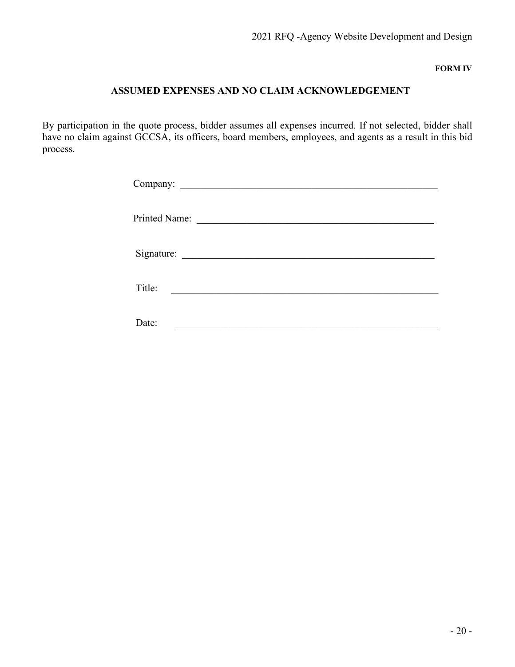**FORM IV**

# **ASSUMED EXPENSES AND NO CLAIM ACKNOWLEDGEMENT**

By participation in the quote process, bidder assumes all expenses incurred. If not selected, bidder shall have no claim against GCCSA, its officers, board members, employees, and agents as a result in this bid process.

| Printed Name: |                                          |
|---------------|------------------------------------------|
|               |                                          |
| Title:        | <u> 1989 - Johann John Stone, markin</u> |
| Date:         |                                          |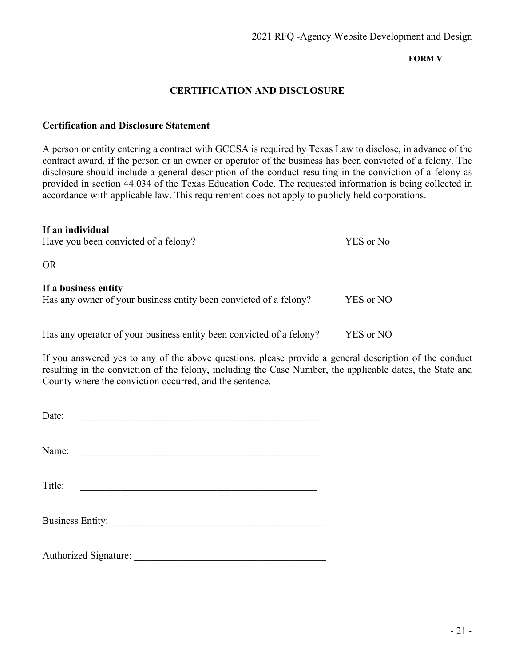# **FORM V**

# **CERTIFICATION AND DISCLOSURE**

# **Certification and Disclosure Statement**

A person or entity entering a contract with GCCSA is required by Texas Law to disclose, in advance of the contract award, if the person or an owner or operator of the business has been convicted of a felony. The disclosure should include a general description of the conduct resulting in the conviction of a felony as provided in section 44.034 of the Texas Education Code. The requested information is being collected in accordance with applicable law. This requirement does not apply to publicly held corporations.

| If an individual<br>Have you been convicted of a felony?                                  | YES or No |
|-------------------------------------------------------------------------------------------|-----------|
| <b>OR</b>                                                                                 |           |
| If a business entity<br>Has any owner of your business entity been convicted of a felony? | YES or NO |
| Has any operator of your business entity been convicted of a felony?                      | YES or NO |

If you answered yes to any of the above questions, please provide a general description of the conduct resulting in the conviction of the felony, including the Case Number, the applicable dates, the State and County where the conviction occurred, and the sentence.

| Date:                   |  |  |
|-------------------------|--|--|
| Name:                   |  |  |
| Title:                  |  |  |
| <b>Business Entity:</b> |  |  |
| Authorized Signature:   |  |  |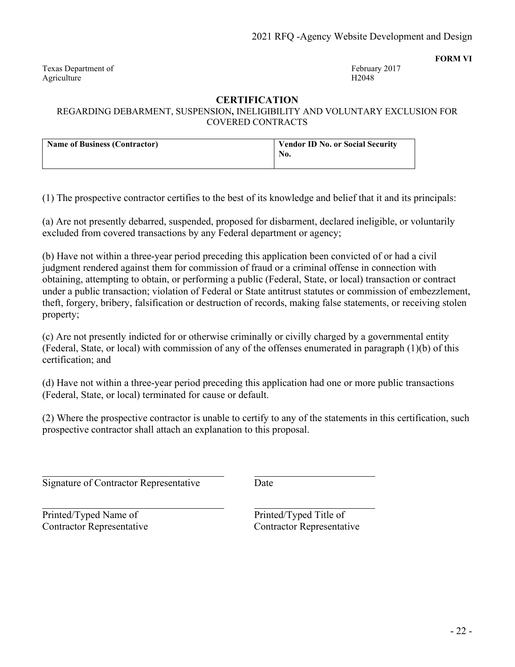Texas Department of February 2017 Agriculture H2048

**FORM VI**

# **CERTIFICATION**

REGARDING DEBARMENT, SUSPENSION**,** INELIGIBILITY AND VOLUNTARY EXCLUSION FOR COVERED CONTRACTS

| <b>Name of Business (Contractor)</b> | <b>Vendor ID No. or Social Security</b><br>No. |
|--------------------------------------|------------------------------------------------|
|                                      |                                                |

(1) The prospective contractor certifies to the best of its knowledge and belief that it and its principals:

(a) Are not presently debarred, suspended, proposed for disbarment, declared ineligible, or voluntarily excluded from covered transactions by any Federal department or agency;

(b) Have not within a three-year period preceding this application been convicted of or had a civil judgment rendered against them for commission of fraud or a criminal offense in connection with obtaining, attempting to obtain, or performing a public (Federal, State, or local) transaction or contract under a public transaction; violation of Federal or State antitrust statutes or commission of embezzlement, theft, forgery, bribery, falsification or destruction of records, making false statements, or receiving stolen property;

(c) Are not presently indicted for or otherwise criminally or civilly charged by a governmental entity (Federal, State, or local) with commission of any of the offenses enumerated in paragraph (1)(b) of this certification; and

(d) Have not within a three-year period preceding this application had one or more public transactions (Federal, State, or local) terminated for cause or default.

(2) Where the prospective contractor is unable to certify to any of the statements in this certification, such prospective contractor shall attach an explanation to this proposal.

Signature of Contractor Representative Date

Printed/Typed Name of Printed/Typed Title of Contractor Representative Contractor Representative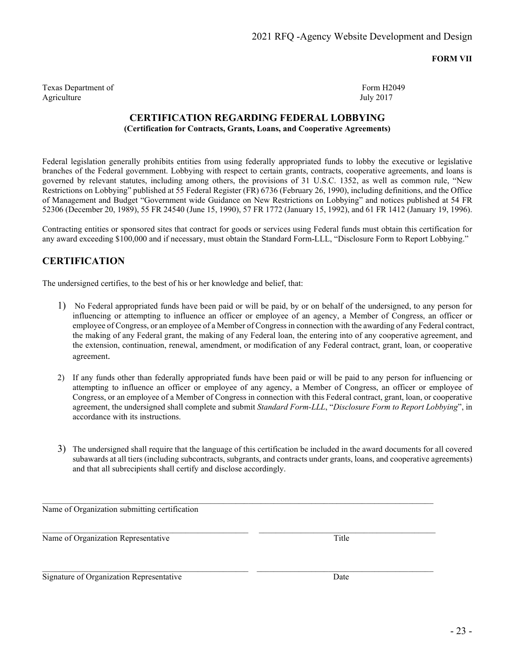**FORM VII**

Texas Department of Form H2049 Agriculture July 2017

# **CERTIFICATION REGARDING FEDERAL LOBBYING (Certification for Contracts, Grants, Loans, and Cooperative Agreements)**

Federal legislation generally prohibits entities from using federally appropriated funds to lobby the executive or legislative branches of the Federal government. Lobbying with respect to certain grants, contracts, cooperative agreements, and loans is governed by relevant statutes, including among others, the provisions of 31 U.S.C. 1352, as well as common rule, "New Restrictions on Lobbying" published at 55 Federal Register (FR) 6736 (February 26, 1990), including definitions, and the Office of Management and Budget "Government wide Guidance on New Restrictions on Lobbying" and notices published at 54 FR 52306 (December 20, 1989), 55 FR 24540 (June 15, 1990), 57 FR 1772 (January 15, 1992), and 61 FR 1412 (January 19, 1996).

Contracting entities or sponsored sites that contract for goods or services using Federal funds must obtain this certification for any award exceeding \$100,000 and if necessary, must obtain the Standard Form-LLL, "Disclosure Form to Report Lobbying."

# **CERTIFICATION**

The undersigned certifies, to the best of his or her knowledge and belief, that:

- 1) No Federal appropriated funds have been paid or will be paid, by or on behalf of the undersigned, to any person for influencing or attempting to influence an officer or employee of an agency, a Member of Congress, an officer or employee of Congress, or an employee of a Member of Congress in connection with the awarding of any Federal contract, the making of any Federal grant, the making of any Federal loan, the entering into of any cooperative agreement, and the extension, continuation, renewal, amendment, or modification of any Federal contract, grant, loan, or cooperative agreement.
- 2) If any funds other than federally appropriated funds have been paid or will be paid to any person for influencing or attempting to influence an officer or employee of any agency, a Member of Congress, an officer or employee of Congress, or an employee of a Member of Congress in connection with this Federal contract, grant, loan, or cooperative agreement, the undersigned shall complete and submit *Standard Form-LLL*, "*Disclosure Form to Report Lobbying*", in accordance with its instructions.
- 3) The undersigned shall require that the language of this certification be included in the award documents for all covered subawards at all tiers (including subcontracts, subgrants, and contracts under grants, loans, and cooperative agreements) and that all subrecipients shall certify and disclose accordingly.

 $\bot$  , and the contribution of the contribution of the contribution of the contribution of the contribution of  $\bot$ 

 $\mathcal{L}_\mathcal{L} = \{ \mathcal{L}_\mathcal{L} = \{ \mathcal{L}_\mathcal{L} = \{ \mathcal{L}_\mathcal{L} = \{ \mathcal{L}_\mathcal{L} = \{ \mathcal{L}_\mathcal{L} = \{ \mathcal{L}_\mathcal{L} = \{ \mathcal{L}_\mathcal{L} = \{ \mathcal{L}_\mathcal{L} = \{ \mathcal{L}_\mathcal{L} = \{ \mathcal{L}_\mathcal{L} = \{ \mathcal{L}_\mathcal{L} = \{ \mathcal{L}_\mathcal{L} = \{ \mathcal{L}_\mathcal{L} = \{ \mathcal{L}_\mathcal{$ 

\_\_\_\_\_\_\_\_\_\_\_\_\_\_\_\_\_\_\_\_\_\_\_\_\_\_\_\_\_\_\_\_\_\_\_\_\_\_\_\_\_\_\_\_\_\_\_\_\_ \_\_\_\_\_\_\_\_\_\_\_\_\_\_\_\_\_\_\_\_\_\_\_\_\_\_\_\_\_\_\_\_\_\_\_\_\_\_\_\_\_\_

Name of Organization submitting certification

Name of Organization Representative Title

Signature of Organization Representative Date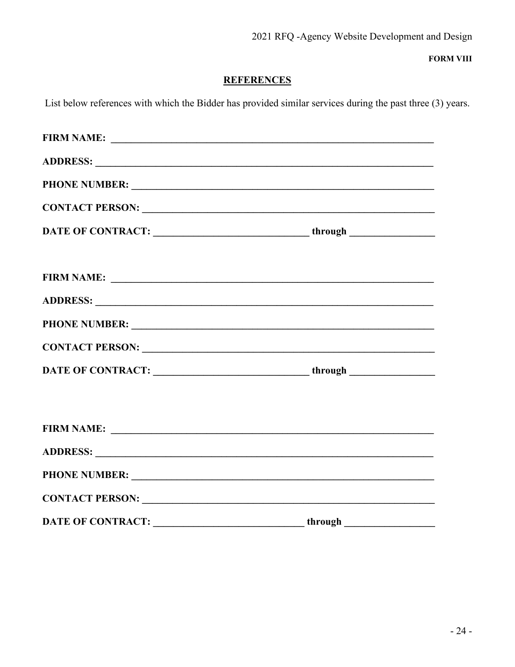**FORM VIII** 

# **REFERENCES**

List below references with which the Bidder has provided similar services during the past three (3) years.

|                          | FIRM NAME:                                                                       |
|--------------------------|----------------------------------------------------------------------------------|
|                          |                                                                                  |
|                          |                                                                                  |
|                          |                                                                                  |
|                          | DATE OF CONTRACT: _________________________________through _____________________ |
|                          | FIRM NAME:                                                                       |
|                          |                                                                                  |
|                          |                                                                                  |
|                          |                                                                                  |
| <b>DATE OF CONTRACT:</b> | <b>Example 2018</b> Through through                                              |